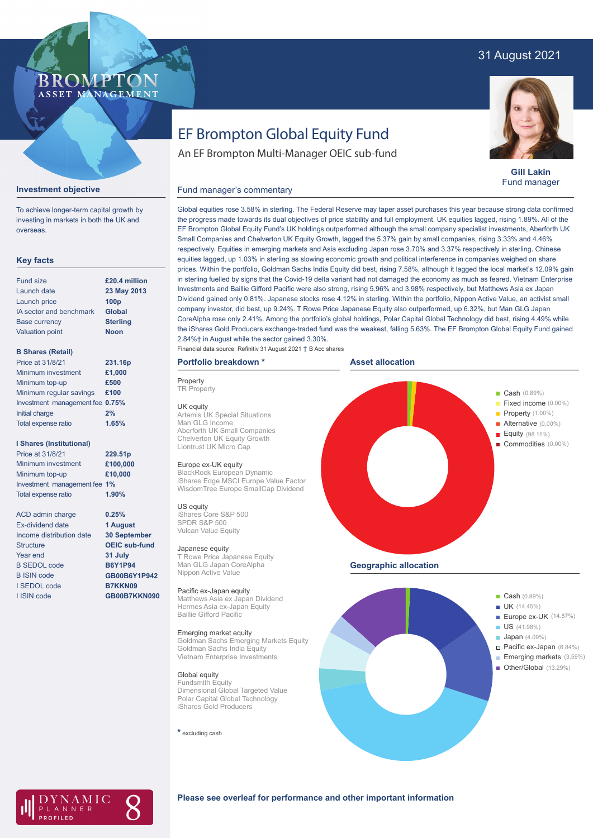## 31 August 2021

### BROMP ASSET MANAGEMENT

**Gill Lakin** Fund manager

# EF Brompton Global Equity Fund

An EF Brompton Multi-Manager OEIC sub-fund

### **Investment objective**

To achieve longer-term capital growth by investing in markets in both the UK and overseas.

#### **Key facts**

| <b>Fund size</b>        | £20.4 million    |
|-------------------------|------------------|
| Launch date             | 23 May 2013      |
| Launch price            | 100 <sub>p</sub> |
| IA sector and benchmark | <b>Global</b>    |
| <b>Base currency</b>    | <b>Sterling</b>  |
| <b>Valuation point</b>  | <b>Noon</b>      |
|                         |                  |

#### **B Shares (Retail)**

| Price at 31/8/21                | 231.16p |
|---------------------------------|---------|
| Minimum investment              | £1,000  |
| Minimum top-up                  | £500    |
| Minimum regular savings         | £100    |
| Investment management fee 0.75% |         |
| Initial charge                  | 2%      |
| Total expense ratio             | 1.65%   |
|                                 |         |

#### **I Shares (Institutional)**

| Price at 31/8/21             | 229.51p  |
|------------------------------|----------|
| Minimum investment           | £100,000 |
| Minimum top-up               | £10,000  |
| Investment management fee 1% |          |
| <b>Total expense ratio</b>   | 1.90%    |

ACD admin charge Ex-dividend date Income distribution date Structure Year end B SEDOL code B ISIN code I SEDOL code I ISIN code

**0.25% 1 August 30 September OEIC sub-fund 31 July B6Y1P94 GB00B6Y1P942 B7KKN09 GB00B7KKN090**

Global equities rose 3.58% in sterling. The Federal Reserve may taper asset purchases this year because strong data confirmed the progress made towards its dual objectives of price stability and full employment. UK equities lagged, rising 1.89%. All of the EF Brompton Global Equity Fund's UK holdings outperformed although the small company specialist investments, Aberforth UK Small Companies and Chelverton UK Equity Growth, lagged the 5.37% gain by small companies, rising 3.33% and 4.46% respectively. Equities in emerging markets and Asia excluding Japan rose 3.70% and 3.37% respectively in sterling. Chinese equities lagged, up 1.03% in sterling as slowing economic growth and political interference in companies weighed on share prices. Within the portfolio, Goldman Sachs India Equity did best, rising 7.58%, although it lagged the local market's 12.09% gain in sterling fuelled by signs that the Covid-19 delta variant had not damaged the economy as much as feared. Vietnam Enterprise Investments and Baillie Gifford Pacific were also strong, rising 5.96% and 3.98% respectively, but Matthews Asia ex Japan Dividend gained only 0.81%. Japanese stocks rose 4.12% in sterling. Within the portfolio, Nippon Active Value, an activist small company investor, did best, up 9.24%. T Rowe Price Japanese Equity also outperformed, up 6.32%, but Man GLG Japan CoreAlpha rose only 2.41%. Among the portfolio's global holdings, Polar Capital Global Technology did best, rising 4.49% while the iShares Gold Producers exchange-traded fund was the weakest, falling 5.63%. The EF Brompton Global Equity Fund gained 2.84%† in August while the sector gained 3.30%.

#### Financial data source: Refinitiv 31 August 2021 † B Acc shares

Fund manager's commentary

## **Portfolio breakdown \***

**Property TR Property** UK equity Artemis UK Special Situations Man GLG Income Aberforth UK Small Companies Chelverton UK Equity Growth Liontrust UK Micro Cap

#### Europe ex-UK equity

BlackRock European Dynamic iShares Edge MSCI Europe Value Factor WisdomTree Europe SmallCap Dividend

US equity iShares Core S&P 500 SPDR S&P 500 Vulcan Value Equity

#### Japanese equity

T Rowe Price Japanese Equity Man GLG Japan CoreAlpha Nippon Active Value

#### Pacific ex-Japan equity

Matthews Asia ex Japan Dividend Hermes Asia ex-Japan Equity Baillie Gifford Pacific

#### Emerging market equity

Goldman Sachs Emerging Markets Equity Goldman Sachs India Equity Vietnam Enterprise Investments

#### Global equity

Fundsmith Equity Dimensional Global Targeted Value Polar Capital Global Technology iShares Gold Producers

**\*** excluding cash







### **Please see overleaf for performance and other important information**

í